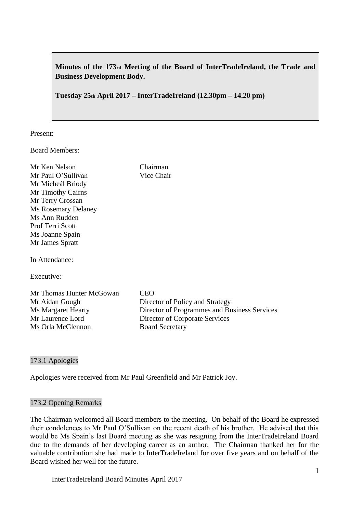**Minutes of the 173rd Meeting of the Board of InterTradeIreland, the Trade and Business Development Body.**

**Tuesday 25th April 2017 – InterTradeIreland (12.30pm – 14.20 pm)**

Chairman Vice Chair

Present:

Board Members:

| Mr Ken Nelson              |
|----------------------------|
| Mr Paul O'Sullivan         |
| Mr Micheál Briody          |
| <b>Mr Timothy Cairns</b>   |
| Mr Terry Crossan           |
| <b>Ms Rosemary Delaney</b> |
| Ms Ann Rudden              |
| <b>Prof Terri Scott</b>    |
| Ms Joanne Spain            |
| Mr James Spratt            |
|                            |

In Attendance:

Executive:

Mr Thomas Hunter McGowan CEO Mr Aidan Gough Director of Policy and Strategy Ms Margaret Hearty Director of Programmes and Business Services<br>Mr Laurence Lord Director of Corporate Services Director of Corporate Services Ms Orla McGlennon Board Secretary

## 173.1 Apologies

Apologies were received from Mr Paul Greenfield and Mr Patrick Joy.

## 173.2 Opening Remarks

The Chairman welcomed all Board members to the meeting. On behalf of the Board he expressed their condolences to Mr Paul O'Sullivan on the recent death of his brother. He advised that this would be Ms Spain's last Board meeting as she was resigning from the InterTradeIreland Board due to the demands of her developing career as an author. The Chairman thanked her for the valuable contribution she had made to InterTradeIreland for over five years and on behalf of the Board wished her well for the future.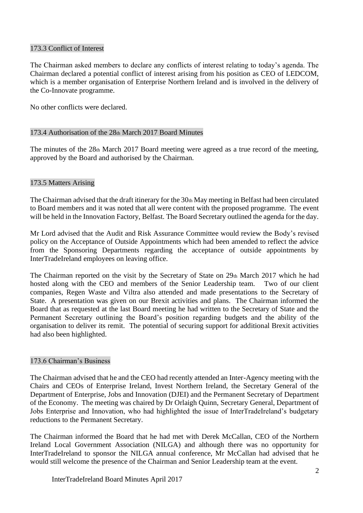## 173.3 Conflict of Interest

The Chairman asked members to declare any conflicts of interest relating to today's agenda. The Chairman declared a potential conflict of interest arising from his position as CEO of LEDCOM, which is a member organisation of Enterprise Northern Ireland and is involved in the delivery of the Co-Innovate programme.

No other conflicts were declared.

# 173.4 Authorisation of the 28th March 2017 Board Minutes

The minutes of the 28th March 2017 Board meeting were agreed as a true record of the meeting, approved by the Board and authorised by the Chairman.

# 173.5 Matters Arising

The Chairman advised that the draft itinerary for the 30th May meeting in Belfast had been circulated to Board members and it was noted that all were content with the proposed programme. The event will be held in the Innovation Factory, Belfast. The Board Secretary outlined the agenda for the day.

Mr Lord advised that the Audit and Risk Assurance Committee would review the Body's revised policy on the Acceptance of Outside Appointments which had been amended to reflect the advice from the Sponsoring Departments regarding the acceptance of outside appointments by InterTradeIreland employees on leaving office.

The Chairman reported on the visit by the Secretary of State on 29th March 2017 which he had hosted along with the CEO and members of the Senior Leadership team. Two of our client companies, Regen Waste and Viltra also attended and made presentations to the Secretary of State. A presentation was given on our Brexit activities and plans. The Chairman informed the Board that as requested at the last Board meeting he had written to the Secretary of State and the Permanent Secretary outlining the Board's position regarding budgets and the ability of the organisation to deliver its remit. The potential of securing support for additional Brexit activities had also been highlighted.

## 173.6 Chairman's Business

The Chairman advised that he and the CEO had recently attended an Inter-Agency meeting with the Chairs and CEOs of Enterprise Ireland, Invest Northern Ireland, the Secretary General of the Department of Enterprise, Jobs and Innovation (DJEI) and the Permanent Secretary of Department of the Economy. The meeting was chaired by Dr Orlaigh Quinn, Secretary General, Department of Jobs Enterprise and Innovation, who had highlighted the issue of InterTradeIreland's budgetary reductions to the Permanent Secretary.

The Chairman informed the Board that he had met with Derek McCallan, CEO of the Northern Ireland Local Government Association (NILGA) and although there was no opportunity for InterTradeIreland to sponsor the NILGA annual conference, Mr McCallan had advised that he would still welcome the presence of the Chairman and Senior Leadership team at the event.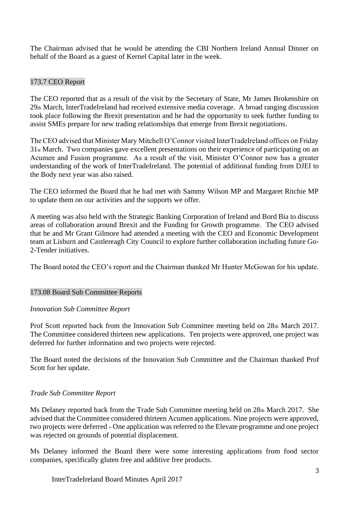The Chairman advised that he would be attending the CBI Northern Ireland Annual Dinner on behalf of the Board as a guest of Kernel Capital later in the week.

# 173.7 CEO Report

The CEO reported that as a result of the visit by the Secretary of State, Mr James Brokenshire on 29th March, InterTradeIreland had received extensive media coverage. A broad ranging discussion took place following the Brexit presentation and he had the opportunity to seek further funding to assist SMEs prepare for new trading relationships that emerge from Brexit negotiations.

The CEO advised that Minister Mary Mitchell O'Connor visited InterTradeIreland offices on Friday 31st March. Two companies gave excellent presentations on their experience of participating on an Acumen and Fusion programme. As a result of the visit, Minister O'Connor now has a greater understanding of the work of InterTradeIreland. The potential of additional funding from DJEI to the Body next year was also raised.

The CEO informed the Board that he had met with Sammy Wilson MP and Margaret Ritchie MP to update them on our activities and the supports we offer.

A meeting was also held with the Strategic Banking Corporation of Ireland and Bord Bia to discuss areas of collaboration around Brexit and the Funding for Growth programme. The CEO advised that he and Mr Grant Gilmore had attended a meeting with the CEO and Economic Development team at Lisburn and Castlereagh City Council to explore further collaboration including future Go-2-Tender initiatives.

The Board noted the CEO's report and the Chairman thanked Mr Hunter McGowan for his update.

# 173.08 Board Sub Committee Reports

## *Innovation Sub Committee Report*

Prof Scott reported back from the Innovation Sub Committee meeting held on 28th March 2017. The Committee considered thirteen new applications. Ten projects were approved, one project was deferred for further information and two projects were rejected.

The Board noted the decisions of the Innovation Sub Committee and the Chairman thanked Prof Scott for her update.

# *Trade Sub Committee Report*

Ms Delaney reported back from the Trade Sub Committee meeting held on 28th March 2017. She advised that the Committee considered thirteen Acumen applications. Nine projects were approved, two projects were deferred - One application was referred to the Elevate programme and one project was rejected on grounds of potential displacement.

Ms Delaney informed the Board there were some interesting applications from food sector companies, specifically gluten free and additive free products.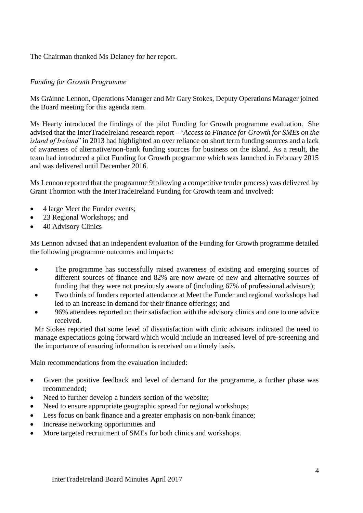The Chairman thanked Ms Delaney for her report.

## *Funding for Growth Programme*

Ms Gráinne Lennon, Operations Manager and Mr Gary Stokes, Deputy Operations Manager joined the Board meeting for this agenda item.

Ms Hearty introduced the findings of the pilot Funding for Growth programme evaluation. She advised that the InterTradeIreland research report – '*Access to Finance for Growth for SMEs on the island of Ireland'* in 2013 had highlighted an over reliance on short term funding sources and a lack of awareness of alternative/non-bank funding sources for business on the island. As a result, the team had introduced a pilot Funding for Growth programme which was launched in February 2015 and was delivered until December 2016.

Ms Lennon reported that the programme 9following a competitive tender process) was delivered by Grant Thornton with the InterTradeIreland Funding for Growth team and involved:

- 4 large Meet the Funder events;
- 23 Regional Workshops; and
- 40 Advisory Clinics

Ms Lennon advised that an independent evaluation of the Funding for Growth programme detailed the following programme outcomes and impacts:

- The programme has successfully raised awareness of existing and emerging sources of different sources of finance and 82% are now aware of new and alternative sources of funding that they were not previously aware of (including 67% of professional advisors);
- Two thirds of funders reported attendance at Meet the Funder and regional workshops had led to an increase in demand for their finance offerings; and
- 96% attendees reported on their satisfaction with the advisory clinics and one to one advice received.

Mr Stokes reported that some level of dissatisfaction with clinic advisors indicated the need to manage expectations going forward which would include an increased level of pre-screening and the importance of ensuring information is received on a timely basis.

Main recommendations from the evaluation included:

- Given the positive feedback and level of demand for the programme, a further phase was recommended;
- Need to further develop a funders section of the website;
- Need to ensure appropriate geographic spread for regional workshops;
- Less focus on bank finance and a greater emphasis on non-bank finance;
- Increase networking opportunities and
- More targeted recruitment of SMEs for both clinics and workshops.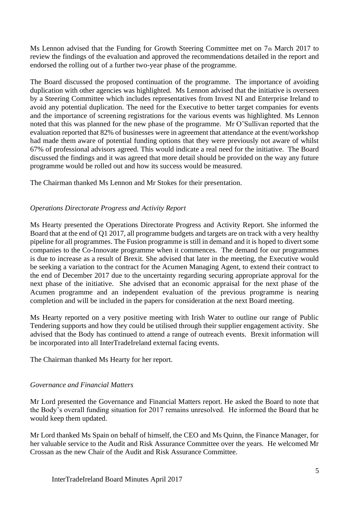Ms Lennon advised that the Funding for Growth Steering Committee met on 7th March 2017 to review the findings of the evaluation and approved the recommendations detailed in the report and endorsed the rolling out of a further two-year phase of the programme.

The Board discussed the proposed continuation of the programme. The importance of avoiding duplication with other agencies was highlighted. Ms Lennon advised that the initiative is overseen by a Steering Committee which includes representatives from Invest NI and Enterprise Ireland to avoid any potential duplication. The need for the Executive to better target companies for events and the importance of screening registrations for the various events was highlighted. Ms Lennon noted that this was planned for the new phase of the programme. Mr O'Sullivan reported that the evaluation reported that 82% of businesses were in agreement that attendance at the event/workshop had made them aware of potential funding options that they were previously not aware of whilst 67% of professional advisors agreed. This would indicate a real need for the initiative. The Board discussed the findings and it was agreed that more detail should be provided on the way any future programme would be rolled out and how its success would be measured.

The Chairman thanked Ms Lennon and Mr Stokes for their presentation.

## *Operations Directorate Progress and Activity Report*

Ms Hearty presented the Operations Directorate Progress and Activity Report. She informed the Board that at the end of Q1 2017, all programme budgets and targets are on track with a very healthy pipeline for all programmes. The Fusion programme is still in demand and it is hoped to divert some companies to the Co-Innovate programme when it commences. The demand for our programmes is due to increase as a result of Brexit. She advised that later in the meeting, the Executive would be seeking a variation to the contract for the Acumen Managing Agent, to extend their contract to the end of December 2017 due to the uncertainty regarding securing appropriate approval for the next phase of the initiative. She advised that an economic appraisal for the next phase of the Acumen programme and an independent evaluation of the previous programme is nearing completion and will be included in the papers for consideration at the next Board meeting.

Ms Hearty reported on a very positive meeting with Irish Water to outline our range of Public Tendering supports and how they could be utilised through their supplier engagement activity. She advised that the Body has continued to attend a range of outreach events. Brexit information will be incorporated into all InterTradeIreland external facing events.

The Chairman thanked Ms Hearty for her report.

# *Governance and Financial Matters*

Mr Lord presented the Governance and Financial Matters report. He asked the Board to note that the Body's overall funding situation for 2017 remains unresolved. He informed the Board that he would keep them updated.

Mr Lord thanked Ms Spain on behalf of himself, the CEO and Ms Quinn, the Finance Manager, for her valuable service to the Audit and Risk Assurance Committee over the years. He welcomed Mr Crossan as the new Chair of the Audit and Risk Assurance Committee.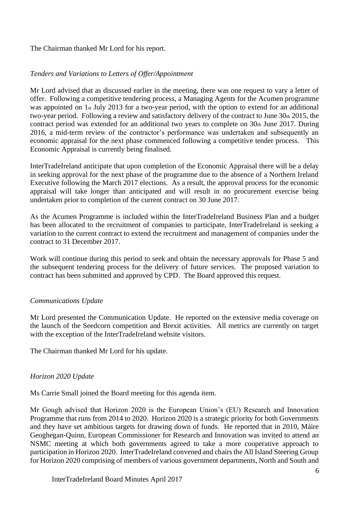The Chairman thanked Mr Lord for his report.

# *Tenders and Variations to Letters of Offer/Appointment*

Mr Lord advised that as discussed earlier in the meeting, there was one request to vary a letter of offer. Following a competitive tendering process, a Managing Agents for the Acumen programme was appointed on 1st July 2013 for a two-year period, with the option to extend for an additional two-year period. Following a review and satisfactory delivery of the contract to June 30th 2015, the contract period was extended for an additional two years to complete on 30th June 2017. During 2016, a mid-term review of the contractor's performance was undertaken and subsequently an economic appraisal for the next phase commenced following a competitive tender process. This Economic Appraisal is currently being finalised.

InterTradeIreland anticipate that upon completion of the Economic Appraisal there will be a delay in seeking approval for the next phase of the programme due to the absence of a Northern Ireland Executive following the March 2017 elections. As a result, the approval process for the economic appraisal will take longer than anticipated and will result in no procurement exercise being undertaken prior to completion of the current contract on 30 June 2017.

As the Acumen Programme is included within the InterTradeIreland Business Plan and a budget has been allocated to the recruitment of companies to participate, InterTradeIreland is seeking a variation to the current contract to extend the recruitment and management of companies under the contract to 31 December 2017.

Work will continue during this period to seek and obtain the necessary approvals for Phase 5 and the subsequent tendering process for the delivery of future services. The proposed variation to contract has been submitted and approved by CPD. The Board approved this request.

# *Communications Update*

Mr Lord presented the Communication Update. He reported on the extensive media coverage on the launch of the Seedcorn competition and Brexit activities. All metrics are currently on target with the exception of the InterTradeIreland website visitors.

The Chairman thanked Mr Lord for his update.

# *Horizon 2020 Update*

Ms Carrie Small joined the Board meeting for this agenda item.

Mr Gough advised that Horizon 2020 is the European Union's (EU) Research and Innovation Programme that runs from 2014 to 2020. Horizon 2020 is a strategic priority for both Governments and they have set ambitious targets for drawing down of funds. He reported that in 2010, Máire Geoghegan-Quinn, European Commissioner for Research and Innovation was invited to attend an NSMC meeting at which both governments agreed to take a more cooperative approach to participation in Horizon 2020. InterTradeIreland convened and chairs the All Island Steering Group for Horizon 2020 comprising of members of various government departments, North and South and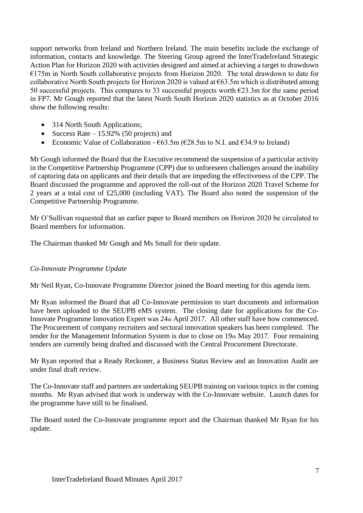support networks from Ireland and Northern Ireland. The main benefits include the exchange of information, contacts and knowledge. The Steering Group agreed the InterTradeIreland Strategic Action Plan for Horizon 2020 with activities designed and aimed at achieving a target to drawdown €175m in North South collaborative projects from Horizon 2020. The total drawdown to date for collaborative North South projects for Horizon 2020 is valued at  $\epsilon$ 63.5m which is distributed among 50 successful projects. This compares to 33 successful projects worth  $\epsilon$ 23.3m for the same period in FP7. Mr Gough reported that the latest North South Horizon 2020 statistics as at October 2016 show the following results:

- 314 North South Applications;
- Success Rate  $-15.92\%$  (50 projects) and
- Economic Value of Collaboration  $\epsilon$ 63.5m ( $\epsilon$ 28.5m to N.I. and  $\epsilon$ 34.9 to Ireland)

Mr Gough informed the Board that the Executive recommend the suspension of a particular activity in the Competitive Partnership Programme (CPP) due to unforeseen challenges around the inability of capturing data on applicants and their details that are impeding the effectiveness of the CPP. The Board discussed the programme and approved the roll-out of the Horizon 2020 Travel Scheme for 2 years at a total cost of £25,000 (including VAT). The Board also noted the suspension of the Competitive Partnership Programme.

Mr O'Sullivan requested that an earlier paper to Board members on Horizon 2020 be circulated to Board members for information.

The Chairman thanked Mr Gough and Ms Small for their update.

# *Co-Innovate Programme Update*

Mr Neil Ryan, Co-Innovate Programme Director joined the Board meeting for this agenda item.

Mr Ryan informed the Board that all Co-Innovate permission to start documents and information have been uploaded to the SEUPB eMS system. The closing date for applications for the Co-Innovate Programme Innovation Expert was 24th April 2017. All other staff have how commenced. The Procurement of company recruiters and sectoral innovation speakers has been completed. The tender for the Management Information System is due to close on 19th May 2017. Four remaining tenders are currently being drafted and discussed with the Central Procurement Directorate.

Mr Ryan reported that a Ready Reckoner, a Business Status Review and an Innovation Audit are under final draft review.

The Co-Innovate staff and partners are undertaking SEUPB training on various topics in the coming months. Mr Ryan advised that work is underway with the Co-Innovate website. Launch dates for the programme have still to be finalised.

The Board noted the Co-Innovate programme report and the Chairman thanked Mr Ryan for his update.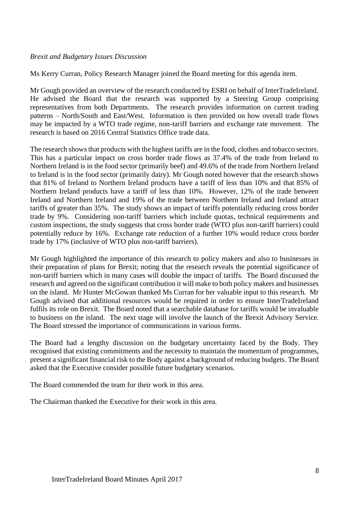## *Brexit and Budgetary Issues Discussion*

Ms Kerry Curran, Policy Research Manager joined the Board meeting for this agenda item.

Mr Gough provided an overview of the research conducted by ESRI on behalf of InterTradeIreland. He advised the Board that the research was supported by a Steering Group comprising representatives from both Departments. The research provides information on current trading patterns – North/South and East/West. Information is then provided on how overall trade flows may be impacted by a WTO trade regime, non-tariff barriers and exchange rate movement. The research is based on 2016 Central Statistics Office trade data.

The research shows that products with the highest tariffs are in the food, clothes and tobacco sectors. This has a particular impact on cross border trade flows as 37.4% of the trade from Ireland to Northern Ireland is in the food sector (primarily beef) and 49.6% of the trade from Northern Ireland to Ireland is in the food sector (primarily dairy). Mr Gough noted however that the research shows that 81% of Ireland to Northern Ireland products have a tariff of less than 10% and that 85% of Northern Ireland products have a tariff of less than 10%. However, 12% of the trade between Ireland and Northern Ireland and 19% of the trade between Northern Ireland and Ireland attract tariffs of greater than 35%. The study shows an impact of tariffs potentially reducing cross border trade by 9%. Considering non-tariff barriers which include quotas, technical requirements and custom inspections, the study suggests that cross border trade (WTO plus non-tariff barriers) could potentially reduce by 16%. Exchange rate reduction of a further 10% would reduce cross border trade by 17% (inclusive of WTO plus non-tariff barriers).

Mr Gough highlighted the importance of this research to policy makers and also to businesses in their preparation of plans for Brexit; noting that the research reveals the potential significance of non-tariff barriers which in many cases will double the impact of tariffs. The Board discussed the research and agreed on the significant contribution it will make to both policy makers and businesses on the island. Mr Hunter McGowan thanked Ms Curran for her valuable input to this research. Mr Gough advised that additional resources would be required in order to ensure InterTradeIreland fulfils its role on Brexit. The Board noted that a searchable database for tariffs would be invaluable to business on the island. The next stage will involve the launch of the Brexit Advisory Service. The Board stressed the importance of communications in various forms.

The Board had a lengthy discussion on the budgetary uncertainty faced by the Body. They recognised that existing commitments and the necessity to maintain the momentum of programmes, present a significant financial risk to the Body against a background of reducing budgets. The Board asked that the Executive consider possible future budgetary scenarios.

The Board commended the team for their work in this area.

The Chairman thanked the Executive for their work in this area.